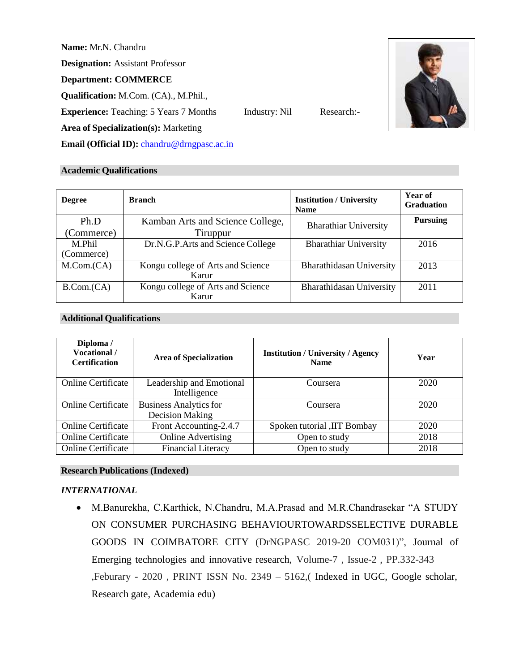**Name:** Mr.N. Chandru

**Designation:** Assistant Professor

**Department: COMMERCE**

**Qualification:** M.Com. (CA)., M.Phil.,

**Experience:** Teaching: 5 Years 7 Months Industry: Nil Research:-



**Area of Specialization(s):** Marketing

**Email (Official ID):** [chandru@drngpasc.ac.in](mailto:chandru@drngpasc.ac.in)

# **Academic Qualifications**

| <b>Degree</b> | <b>Branch</b>                     | <b>Institution / University</b><br><b>Name</b> | Year of<br><b>Graduation</b> |
|---------------|-----------------------------------|------------------------------------------------|------------------------------|
| Ph.D          | Kamban Arts and Science College,  | <b>Bharathiar University</b>                   | <b>Pursuing</b>              |
| (Commerce)    | Tiruppur                          |                                                |                              |
| M.Phil        | Dr.N.G.P.Arts and Science College | <b>Bharathiar University</b>                   | 2016                         |
| (Commerce)    |                                   |                                                |                              |
| M. Com. (CA)  | Kongu college of Arts and Science | Bharathidasan University                       | 2013                         |
|               | Karur                             |                                                |                              |
| B. Com. (CA)  | Kongu college of Arts and Science | Bharathidasan University                       | 2011                         |
|               | Karur                             |                                                |                              |

# **Additional Qualifications**

| Diploma /<br>Vocational /<br><b>Certification</b> | <b>Area of Specialization</b>                           | <b>Institution / University / Agency</b><br><b>Name</b> | Year |
|---------------------------------------------------|---------------------------------------------------------|---------------------------------------------------------|------|
| <b>Online Certificate</b>                         | Leadership and Emotional<br>Intelligence                | Coursera                                                | 2020 |
| <b>Online Certificate</b>                         | <b>Business Analytics for</b><br><b>Decision Making</b> | Coursera                                                | 2020 |
| <b>Online Certificate</b>                         | Front Accounting-2.4.7                                  | Spoken tutorial , IIT Bombay                            | 2020 |
| <b>Online Certificate</b>                         | <b>Online Advertising</b>                               | Open to study                                           | 2018 |
| <b>Online Certificate</b>                         | <b>Financial Literacy</b>                               | Open to study                                           | 2018 |

# **Research Publications (Indexed)**

# *INTERNATIONAL*

• M.Banurekha, C.Karthick, N.Chandru, M.A.Prasad and M.R.Chandrasekar "A STUDY ON CONSUMER PURCHASING BEHAVIOURTOWARDSSELECTIVE DURABLE GOODS IN COIMBATORE CITY (DrNGPASC 2019-20 COM031)", Journal of Emerging technologies and innovative research, Volume-7 , Issue-2 , PP.332-343 ,Feburary - 2020 , PRINT ISSN No. 2349 – 5162,( Indexed in UGC, Google scholar, Research gate, Academia edu)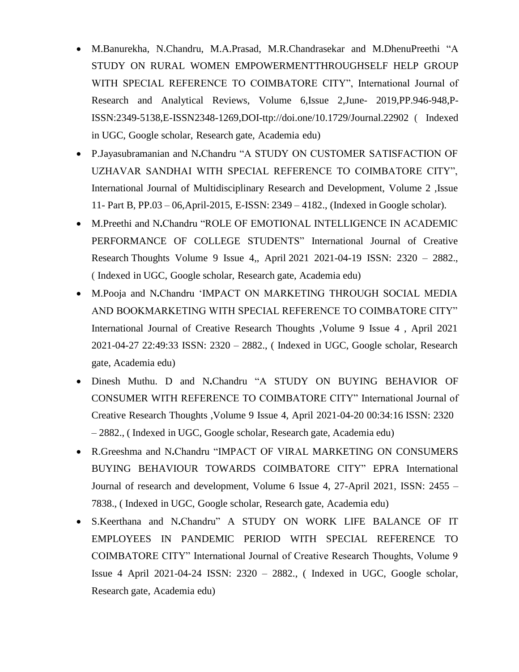- M.Banurekha, N.Chandru, M.A.Prasad, M.R.Chandrasekar and M.DhenuPreethi "A STUDY ON RURAL WOMEN EMPOWERMENTTHROUGHSELF HELP GROUP WITH SPECIAL REFERENCE TO COIMBATORE CITY", International Journal of Research and Analytical Reviews, Volume 6,Issue 2,June- 2019,PP.946-948,P-ISSN:2349-5138,E-ISSN2348-1269,DOI-ttp://doi.one/10.1729/Journal.22902 ( Indexed in UGC, Google scholar, Research gate, Academia edu)
- P.Jayasubramanian and N**.**Chandru "A STUDY ON CUSTOMER SATISFACTION OF UZHAVAR SANDHAI WITH SPECIAL REFERENCE TO COIMBATORE CITY", International Journal of Multidisciplinary Research and Development, Volume 2 ,Issue 11- Part B, PP.03 – 06,April-2015, E-ISSN: 2349 – 4182., (Indexed in Google scholar).
- M.Preethi and N**.**Chandru "ROLE OF EMOTIONAL INTELLIGENCE IN ACADEMIC PERFORMANCE OF COLLEGE STUDENTS" International Journal of Creative Research Thoughts Volume 9 Issue 4,, April 2021 2021-04-19 ISSN: 2320 – 2882., ( Indexed in UGC, Google scholar, Research gate, Academia edu)
- M.Pooja and N**.**Chandru 'IMPACT ON MARKETING THROUGH SOCIAL MEDIA AND BOOKMARKETING WITH SPECIAL REFERENCE TO COIMBATORE CITY" International Journal of Creative Research Thoughts ,Volume 9 Issue 4 , April 2021 2021-04-27 22:49:33 ISSN: 2320 – 2882., ( Indexed in UGC, Google scholar, Research gate, Academia edu)
- Dinesh Muthu. D and N**.**Chandru "A STUDY ON BUYING BEHAVIOR OF CONSUMER WITH REFERENCE TO COIMBATORE CITY" International Journal of Creative Research Thoughts ,Volume 9 Issue 4, April 2021-04-20 00:34:16 ISSN: 2320 – 2882., ( Indexed in UGC, Google scholar, Research gate, Academia edu)
- R.Greeshma and N**.**Chandru "IMPACT OF VIRAL MARKETING ON CONSUMERS BUYING BEHAVIOUR TOWARDS COIMBATORE CITY" EPRA International Journal of research and development, Volume 6 Issue 4, 27-April 2021, ISSN: 2455 – 7838., ( Indexed in UGC, Google scholar, Research gate, Academia edu)
- S.Keerthana and N**.**Chandru" A STUDY ON WORK LIFE BALANCE OF IT EMPLOYEES IN PANDEMIC PERIOD WITH SPECIAL REFERENCE TO COIMBATORE CITY" International Journal of Creative Research Thoughts, Volume 9 Issue 4 April 2021-04-24 ISSN: 2320 – 2882., ( Indexed in UGC, Google scholar, Research gate, Academia edu)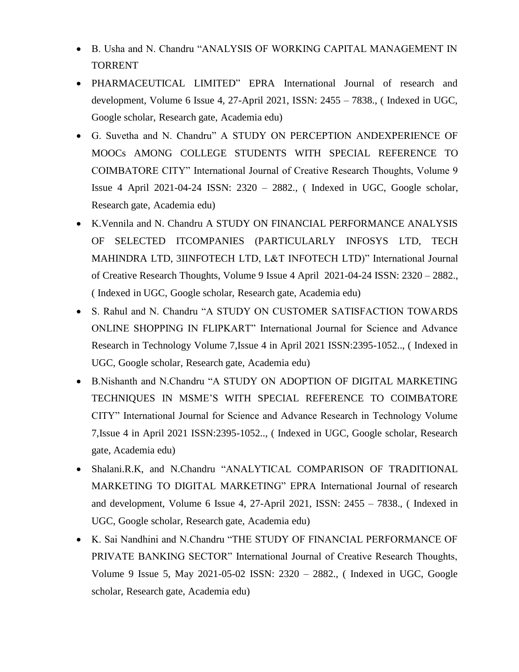- B. Usha and N. Chandru "ANALYSIS OF WORKING CAPITAL MANAGEMENT IN TORRENT
- PHARMACEUTICAL LIMITED" EPRA International Journal of research and development, Volume 6 Issue 4, 27-April 2021, ISSN: 2455 – 7838., ( Indexed in UGC, Google scholar, Research gate, Academia edu)
- G. Suvetha and N. Chandru" A STUDY ON PERCEPTION ANDEXPERIENCE OF MOOCs AMONG COLLEGE STUDENTS WITH SPECIAL REFERENCE TO COIMBATORE CITY" International Journal of Creative Research Thoughts, Volume 9 Issue 4 April 2021-04-24 ISSN: 2320 – 2882., ( Indexed in UGC, Google scholar, Research gate, Academia edu)
- K.Vennila and N. Chandru A STUDY ON FINANCIAL PERFORMANCE ANALYSIS OF SELECTED ITCOMPANIES (PARTICULARLY INFOSYS LTD, TECH MAHINDRA LTD, 3IINFOTECH LTD, L&T INFOTECH LTD)" International Journal of Creative Research Thoughts, Volume 9 Issue 4 April 2021-04-24 ISSN: 2320 – 2882., ( Indexed in UGC, Google scholar, Research gate, Academia edu)
- S. Rahul and N. Chandru "A STUDY ON CUSTOMER SATISFACTION TOWARDS ONLINE SHOPPING IN FLIPKART" International Journal for Science and Advance Research in Technology Volume 7,Issue 4 in April 2021 ISSN:2395-1052.., ( Indexed in UGC, Google scholar, Research gate, Academia edu)
- B.Nishanth and N.Chandru "A STUDY ON ADOPTION OF DIGITAL MARKETING TECHNIQUES IN MSME'S WITH SPECIAL REFERENCE TO COIMBATORE CITY" International Journal for Science and Advance Research in Technology Volume 7,Issue 4 in April 2021 ISSN:2395-1052.., ( Indexed in UGC, Google scholar, Research gate, Academia edu)
- Shalani.R.K, and N.Chandru "ANALYTICAL COMPARISON OF TRADITIONAL MARKETING TO DIGITAL MARKETING" EPRA International Journal of research and development, Volume 6 Issue 4, 27-April 2021, ISSN: 2455 – 7838., ( Indexed in UGC, Google scholar, Research gate, Academia edu)
- K. Sai Nandhini and N.Chandru "THE STUDY OF FINANCIAL PERFORMANCE OF PRIVATE BANKING SECTOR" International Journal of Creative Research Thoughts, Volume 9 Issue 5, May 2021-05-02 ISSN: 2320 – 2882., ( Indexed in UGC, Google scholar, Research gate, Academia edu)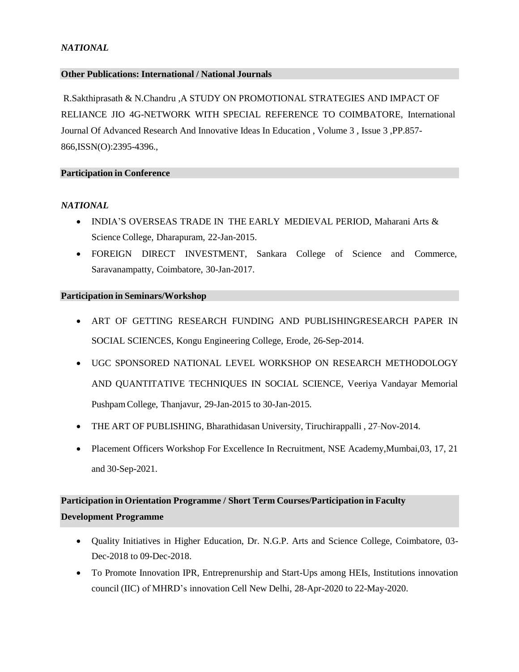## *NATIONAL*

#### **Other Publications: International / National Journals**

R.Sakthiprasath & N.Chandru ,A STUDY ON PROMOTIONAL STRATEGIES AND IMPACT OF RELIANCE JIO 4G-NETWORK WITH SPECIAL REFERENCE TO COIMBATORE, International Journal Of Advanced Research And Innovative Ideas In Education , Volume 3 , Issue 3 ,PP.857- 866,ISSN(O):2395-4396.,

#### **Participation in Conference**

# *NATIONAL*

- INDIA'S OVERSEAS TRADE IN THE EARLY MEDIEVAL PERIOD, Maharani Arts & Science College*,* Dharapuram, 22-Jan-2015.
- FOREIGN DIRECT INVESTMENT, Sankara College of Science and Commerce, Saravanampatty, Coimbatore, 30-Jan-2017.

#### **Participation in Seminars/Workshop**

- ART OF GETTING RESEARCH FUNDING AND PUBLISHINGRESEARCH PAPER IN SOCIAL SCIENCES, Kongu Engineering College, Erode, 26-Sep-2014.
- UGC SPONSORED NATIONAL LEVEL WORKSHOP ON RESEARCH METHODOLOGY AND QUANTITATIVE TECHNIQUES IN SOCIAL SCIENCE, Veeriya Vandayar Memorial Pushpam College, Thanjavur, 29-Jan-2015 to 30-Jan-2015.
- THE ART OF PUBLISHING, Bharathidasan University, Tiruchirappalli, 27-Nov-2014.
- Placement Officers Workshop For Excellence In Recruitment, NSE Academy, Mumbai, 03, 17, 21 and 30-Sep-2021.

# **Participation in Orientation Programme / Short Term Courses/Participation in Faculty Development Programme**

- Quality Initiatives in Higher Education, Dr. N.G.P. Arts and Science College, Coimbatore, 03- Dec-2018 to 09-Dec-2018.
- To Promote Innovation IPR, Entreprenurship and Start-Ups among HEIs, Institutions innovation council (IIC) of MHRD's innovation Cell New Delhi, 28-Apr-2020 to 22-May-2020.